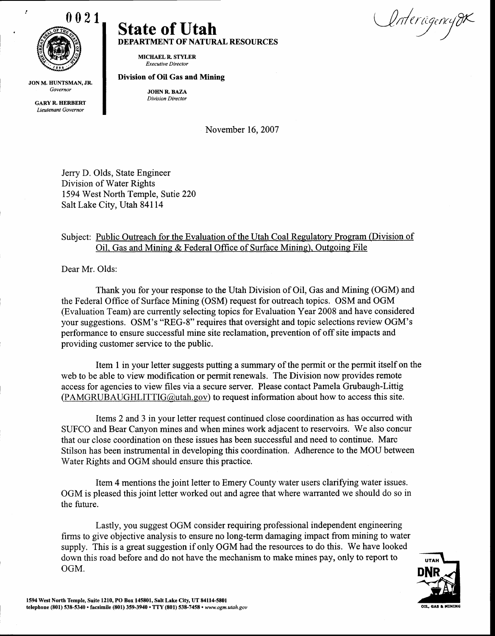

ź

JON M. HUNTSMAN, JR. Governor

**GARY R. HERBERT** Lieutenant Governor

## State of Utah DEPARTMENT OF NATURAL RESOURCES

MICHAELR. STYLER Executive Director

## Division of Oil Gas and Mining

JOHN R. BAZA Division Director

November 16, 2007

Jerry D. Olds, State Engineer Division of Water Rights 1594 West North Temple, Sutie 220 Salt Lake City, Utah 84114

## Subject: Public Outreach for the Evaluation of the Utah Coal Regulatory Program (Division of Oil. Gas and Mining & Federal Office of Surface Mining). Outgoing File

Dear Mr. Olds:

Thank you for your response to the Utah Division of Oil, Gas and Mining (OGM) and the Federal Office of Surface Mining (OSM) request for outreach topics. OSM and OGM (Evaluation Team) are currently selecting topics for Evaluation Year 2008 and have considered your suggestions. OSM's "REG-8" requires that oversight and topic selections review OGM's performance to ensure successful mine site reclamation, prevention of off site impacts and providing customer service to the public.

Item I in your letter suggests putting a summary of the permit or the permit itself on the web to be able to view modification or perrnit renewals. The Division now provides remote access for agencies to view files via a secure server. Please contact Pamela Grubaugh-Littig  $(PAMGRUBAUGHLITTIG(Qutah.gov)$  to request information about how to access this site.

Items 2 and 3 in your letter request continued close coordination as has occurred with SUFCO and Bear Canyon mines and when mines work adjacent to reservoirs. We also concur that our close coordination on these issues has been successful and need to continue. Marc Stilson has been instrumental in developing this coordination. Adherence to the MOU between Water Rights and OGM should ensure this practice.

Item 4 mentions the joint letter to Emery County water users clarifying water issues. OGM is pleased this joint letter worked out and agree that where warranted we should do so in the future.

Lastly, you suggest OGM consider requiring professional independent engineering firms to give objective analysis to ensure no long-term damaging impact from mining to water supply. This is a great suggestion if only OGM had the resources to do this. We have looked down this road before and do not have the mechanism to make mines pay, only to report to OGM.



Unterûgencijd $\kappa$